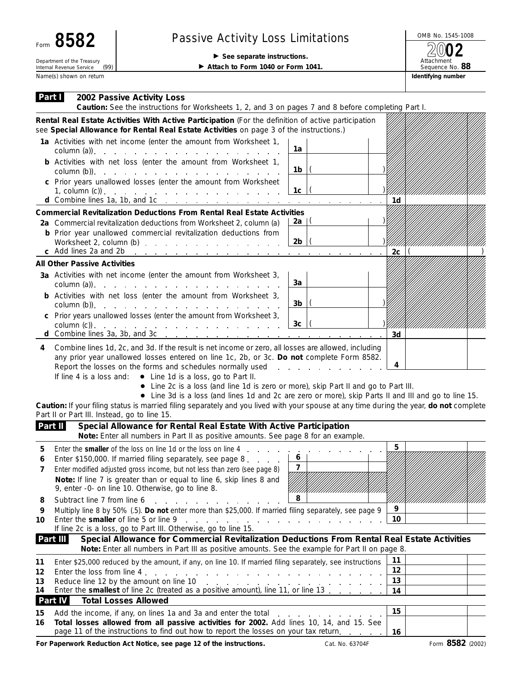| Form 8582                                                      | <b>Passive Activity Loss Limitations</b>                                         | OMB No. 1545-10                      |  |  |
|----------------------------------------------------------------|----------------------------------------------------------------------------------|--------------------------------------|--|--|
| Department of the Treasury<br>(99)<br>Internal Revenue Service | $\triangleright$ See separate instructions.<br>Attach to Form 1040 or Form 1041. | 2002<br>Attachment<br>Sequence No. 8 |  |  |
| Name(s) shown on return                                        |                                                                                  | Identifying number                   |  |  |

## Passive Activity Loss Limitations  $\begin{array}{r} \boxed{\text{OMB No. 1545-1008}} \\ \boxed{\text{OMB No. 1545-1008}} \end{array}$

Attachment Sequence No. **88**

| Part I<br>2002 Passive Activity Loss                                                                                                                                                                                                                                                                                                                                                   |                     |    |                           |
|----------------------------------------------------------------------------------------------------------------------------------------------------------------------------------------------------------------------------------------------------------------------------------------------------------------------------------------------------------------------------------------|---------------------|----|---------------------------|
| Caution: See the instructions for Worksheets 1, 2, and 3 on pages 7 and 8 before completing Part I.<br>Rental Real Estate Activities With Active Participation (For the definition of active participation                                                                                                                                                                             |                     |    |                           |
| see Special Allowance for Rental Real Estate Activities on page 3 of the instructions.)                                                                                                                                                                                                                                                                                                |                     |    |                           |
| 1a Activities with net income (enter the amount from Worksheet 1,<br>column (a)). $\ldots$ $\ldots$ $\ldots$ $\ldots$ $\ldots$ $\ldots$ $\ldots$                                                                                                                                                                                                                                       | 1a                  |    |                           |
| <b>b</b> Activities with net loss (enter the amount from Worksheet 1,                                                                                                                                                                                                                                                                                                                  | 1b                  |    |                           |
| c Prior years unallowed losses (enter the amount from Worksheet<br>1, column (c)) $\ldots$ $\ldots$ $\ldots$ $\ldots$ $\ldots$ $\ldots$ $\ldots$ $\ldots$                                                                                                                                                                                                                              | 1c                  |    |                           |
|                                                                                                                                                                                                                                                                                                                                                                                        |                     | 1d |                           |
| <b>Commercial Revitalization Deductions From Rental Real Estate Activities</b><br>2a Commercial revitalization deductions from Worksheet 2, column (a)                                                                                                                                                                                                                                 | 2a   (              |    |                           |
| <b>b</b> Prior year unallowed commercial revitalization deductions from                                                                                                                                                                                                                                                                                                                |                     |    |                           |
| Worksheet 2, column (b)<br>c Add lines 2a and 2b<br>the contract of the <u>property of the property of the property of the contract of the property</u>                                                                                                                                                                                                                                | 2 <sub>b</sub>      | 2c | ,,,,,,,,,,,,,,,,,,,,,,,,, |
| <b>All Other Passive Activities</b>                                                                                                                                                                                                                                                                                                                                                    |                     |    |                           |
| 3a Activities with net income (enter the amount from Worksheet 3,                                                                                                                                                                                                                                                                                                                      | За                  |    |                           |
| <b>b</b> Activities with net loss (enter the amount from Worksheet 3,                                                                                                                                                                                                                                                                                                                  | 3b                  |    |                           |
| c Prior years unallowed losses (enter the amount from Worksheet 3,                                                                                                                                                                                                                                                                                                                     |                     |    |                           |
| $\text{column (c)}$ .                                                                                                                                                                                                                                                                                                                                                                  | 3 <sub>c</sub>      | 3d | XIIIIIIIIIIIIIIIIIIIII    |
| • Line 2c is a loss (and line 1d is zero or more), skip Part II and go to Part III.<br>• Line 3d is a loss (and lines 1d and 2c are zero or more), skip Parts II and III and go to line 15.<br>Caution: If your filing status is married filing separately and you lived with your spouse at any time during the year, do not complete<br>Part II or Part III. Instead, go to line 15. |                     |    |                           |
| Part II<br>Special Allowance for Rental Real Estate With Active Participation<br>Note: Enter all numbers in Part II as positive amounts. See page 8 for an example.                                                                                                                                                                                                                    |                     |    |                           |
| Enter the smaller of the loss on line 1d or the loss on line 4<br>5<br>the company of the company                                                                                                                                                                                                                                                                                      |                     | 5  |                           |
| Enter \$150,000. If married filing separately, see page 8.<br>6<br>Enter modified adjusted gross income, but not less than zero (see page 8)<br>Note: If line 7 is greater than or equal to line 6, skip lines 8 and<br>9, enter -0- on line 10. Otherwise, go to line 8.                                                                                                              | 6<br>$\overline{7}$ |    |                           |
| Subtract line 7 from line 6<br>8<br>and the con-                                                                                                                                                                                                                                                                                                                                       | 8                   |    |                           |
| Multiply line 8 by 50% (.5). Do not enter more than \$25,000. If married filing separately, see page 9<br>9<br>Enter the smaller of line 5 or line 9<br>and the contract of the contract of the contract of the contract of<br>10                                                                                                                                                      | 9<br>10             |    |                           |
| If line 2c is a loss, go to Part III. Otherwise, go to line 15.<br>Part III<br>Special Allowance for Commercial Revitalization Deductions From Rental Real Estate Activities<br>Note: Enter all numbers in Part III as positive amounts. See the example for Part II on page 8.                                                                                                        |                     |    |                           |
| Enter \$25,000 reduced by the amount, if any, on line 10. If married filing separately, see instructions<br>11                                                                                                                                                                                                                                                                         |                     | 11 |                           |
| Enter the loss from line 4.<br>12<br>and a series of the contract of the contract of the contract of the contract of the contract of the contract of                                                                                                                                                                                                                                   | 12                  |    |                           |
| Reduce line 12 by the amount on line 10<br>13<br>and a series of the contract of the contract of the contract of<br>14                                                                                                                                                                                                                                                                 | 13                  |    |                           |
| Enter the smallest of line 2c (treated as a positive amount), line 11, or line 13<br>Part IV<br><b>Total Losses Allowed</b>                                                                                                                                                                                                                                                            |                     | 14 |                           |
| 15                                                                                                                                                                                                                                                                                                                                                                                     |                     | 15 |                           |
| Total losses allowed from all passive activities for 2002. Add lines 10, 14, and 15. See<br>16                                                                                                                                                                                                                                                                                         |                     |    |                           |
| page 11 of the instructions to find out how to report the losses on your tax return.                                                                                                                                                                                                                                                                                                   |                     | 16 |                           |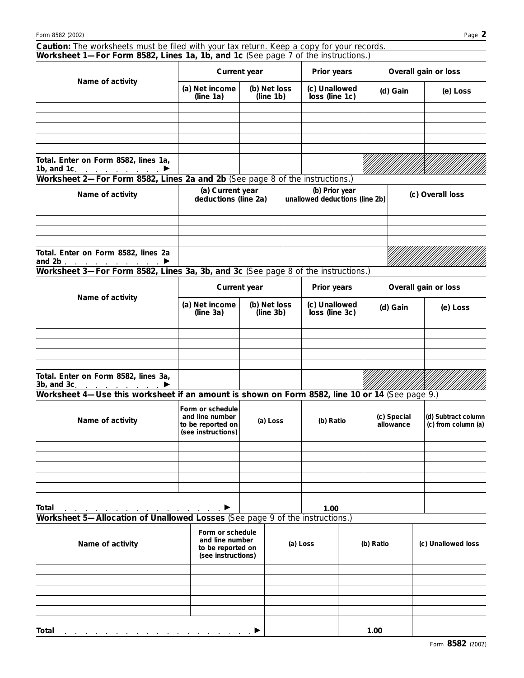| Caution: The worksheets must be filed with your tax return. Keep a copy for your records.<br>Worksheet 1—For Form 8582, Lines 1a, 1b, and 1c (See page 7 of the instructions.)                                                                |                                                                                |                           |                                                  |                                 |  |                          |          |                                            |
|-----------------------------------------------------------------------------------------------------------------------------------------------------------------------------------------------------------------------------------------------|--------------------------------------------------------------------------------|---------------------------|--------------------------------------------------|---------------------------------|--|--------------------------|----------|--------------------------------------------|
|                                                                                                                                                                                                                                               | Current year                                                                   |                           |                                                  | Prior years                     |  |                          |          | Overall gain or loss                       |
| Name of activity                                                                                                                                                                                                                              | (a) Net income<br>(line 1a)                                                    | (b) Net loss<br>(line 1b) |                                                  | (c) Unallowed<br>loss (line 1c) |  |                          | (d) Gain | (e) Loss                                   |
|                                                                                                                                                                                                                                               |                                                                                |                           |                                                  |                                 |  |                          |          |                                            |
|                                                                                                                                                                                                                                               |                                                                                |                           |                                                  |                                 |  |                          |          |                                            |
|                                                                                                                                                                                                                                               |                                                                                |                           |                                                  |                                 |  |                          |          |                                            |
| Total. Enter on Form 8582, lines 1a,<br>1b, and 1c. $\qquad \qquad \blacksquare$<br>Worksheet 2-For Form 8582, Lines 2a and 2b (See page 8 of the instructions.)                                                                              |                                                                                |                           |                                                  |                                 |  |                          |          |                                            |
| Name of activity                                                                                                                                                                                                                              | (a) Current year<br>deductions (line 2a)                                       |                           | (b) Prior year<br>unallowed deductions (line 2b) |                                 |  |                          |          | (c) Overall loss                           |
|                                                                                                                                                                                                                                               |                                                                                |                           |                                                  |                                 |  |                          |          |                                            |
| Total. Enter on Form 8582, lines 2a<br>and 2b.                                                                                                                                                                                                |                                                                                |                           |                                                  |                                 |  |                          |          |                                            |
| Worksheet 3-For Form 8582, Lines 3a, 3b, and 3c (See page 8 of the instructions.)                                                                                                                                                             |                                                                                |                           |                                                  |                                 |  |                          |          |                                            |
| Name of activity                                                                                                                                                                                                                              | Current year                                                                   |                           |                                                  | Prior years                     |  |                          |          | Overall gain or loss                       |
|                                                                                                                                                                                                                                               | (a) Net income<br>(line 3a)                                                    | (b) Net loss<br>(line 3b) |                                                  | (c) Unallowed<br>loss (line 3c) |  | (d) Gain                 |          | (e) Loss                                   |
|                                                                                                                                                                                                                                               |                                                                                |                           |                                                  |                                 |  |                          |          |                                            |
|                                                                                                                                                                                                                                               |                                                                                |                           |                                                  |                                 |  |                          |          |                                            |
| Total. Enter on Form 8582, lines 3a,<br>$3b$ , and $3c$ . $\ldots$ $\ldots$<br>▶                                                                                                                                                              |                                                                                |                           |                                                  |                                 |  |                          |          |                                            |
| Worksheet 4-Use this worksheet if an amount is shown on Form 8582, line 10 or 14 (See page 9.)                                                                                                                                                |                                                                                |                           |                                                  |                                 |  |                          |          |                                            |
| Name of activity                                                                                                                                                                                                                              | Form or schedule<br>and line number<br>to be reported on<br>(see instructions) | (a) Loss                  |                                                  | (b) Ratio                       |  | (c) Special<br>allowance |          | (d) Subtract column<br>(c) from column (a) |
|                                                                                                                                                                                                                                               |                                                                                |                           |                                                  |                                 |  |                          |          |                                            |
|                                                                                                                                                                                                                                               |                                                                                |                           |                                                  |                                 |  |                          |          |                                            |
| Total<br>Total <u>2000 and 2000 and 2000 and 2000 and 2000 and 2000 and 2000 and 2000 and 2000 and 2000 and 2000 and 2000 and 2000 and 2000 and 2000 and 2000 and 2000 and 2000 and 2000 and 2000 and 2000 and 2000 and 2000 and 2000 and</u> |                                                                                |                           |                                                  | 1.00                            |  |                          |          |                                            |
|                                                                                                                                                                                                                                               | Form or schedule                                                               |                           |                                                  |                                 |  |                          |          |                                            |
| Name of activity                                                                                                                                                                                                                              | and line number<br>to be reported on<br>(see instructions)                     |                           |                                                  | (a) Loss                        |  | (b) Ratio                |          | (c) Unallowed loss                         |
|                                                                                                                                                                                                                                               |                                                                                |                           |                                                  |                                 |  |                          |          |                                            |
|                                                                                                                                                                                                                                               |                                                                                |                           |                                                  |                                 |  |                          |          |                                            |
|                                                                                                                                                                                                                                               |                                                                                |                           |                                                  |                                 |  |                          |          |                                            |
| Total                                                                                                                                                                                                                                         |                                                                                |                           |                                                  |                                 |  | 1.00                     |          |                                            |